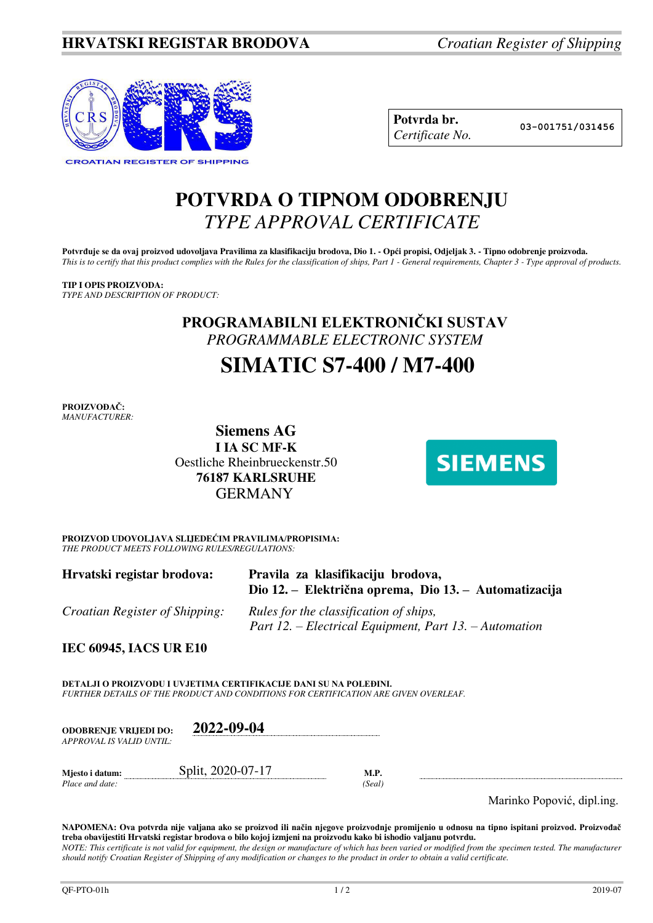

| Potvrda br.     |
|-----------------|
| Certificate No. |

**Potvrda br. 03-001751/031456**

## **POTVRDA O TIPNOM ODOBRENJU**  *TYPE APPROVAL CERTIFICATE*

Potvrđuje se da ovaj proizvod udovoljava Pravilima za klasifikaciju brodova, Dio 1. - Opći propisi, Odjeljak 3. - Tipno odobrenje proizvoda. *This is to certify that this product complies with the Rules for the classification of ships, Part 1 - General requirements, Chapter 3 - Type approval of products.* 

### **TIP I OPIS PROIZVODA:**

*TYPE AND DESCRIPTION OF PRODUCT:* 

## **PROGRAMABILNI ELEKTRONIČKI SUSTAV** *PROGRAMMABLE ELECTRONIC SYSTEM*

# **SIMATIC S7-400 / M7-400**

**PROIZVOĐAČ:** *MANUFACTURER:*

**Siemens AG I IA SC MF-K**  Oestliche Rheinbrueckenstr.50 **76187 KARLSRUHE**  GERMANY



**PROIZVOD UDOVOLJAVA SLIJEDEĆIM PRAVILIMA/PROPISIMA:** *THE PRODUCT MEETS FOLLOWING RULES/REGULATIONS:* 

| Hrvatski registar brodova:            | Pravila za klasifikaciju brodova,<br>Dio 12. – Električna oprema, Dio 13. – Automatizacija       |
|---------------------------------------|--------------------------------------------------------------------------------------------------|
| <i>Croatian Register of Shipping:</i> | Rules for the classification of ships,<br>Part 12. – Electrical Equipment, Part 13. – Automation |

**IEC 60945, IACS UR E10** 

**DETALJI O PROIZVODU I UVJETIMA CERTIFIKACIJE DANI SU NA POLEĐINI.** *FURTHER DETAILS OF THE PRODUCT AND CONDITIONS FOR CERTIFICATION ARE GIVEN OVERLEAF.* 

**ODOBRENJE VRIJEDI DO: 2022-09-04** *APPROVAL IS VALID UNTIL:*

*Place and date:* 

**Mjesto i datum: Split, 2020-07-17 M.P.** *M.P. Place and date:* (*Seal*)

Marinko Popović, dipl.ing.

**NAPOMENA: Ova potvrda nije valjana ako se proizvod ili način njegove proizvodnje promijenio u odnosu na tipno ispitani proizvod. Proizvođač treba obavijestiti Hrvatski registar brodova o bilo kojoj izmjeni na proizvodu kako bi ishodio valjanu potvrdu.**  *NOTE: This certificate is not valid for equipment, the design or manufacture of which has been varied or modified from the specimen tested. The manufacturer should notify Croatian Register of Shipping of any modification or changes to the product in order to obtain a valid certificate.*